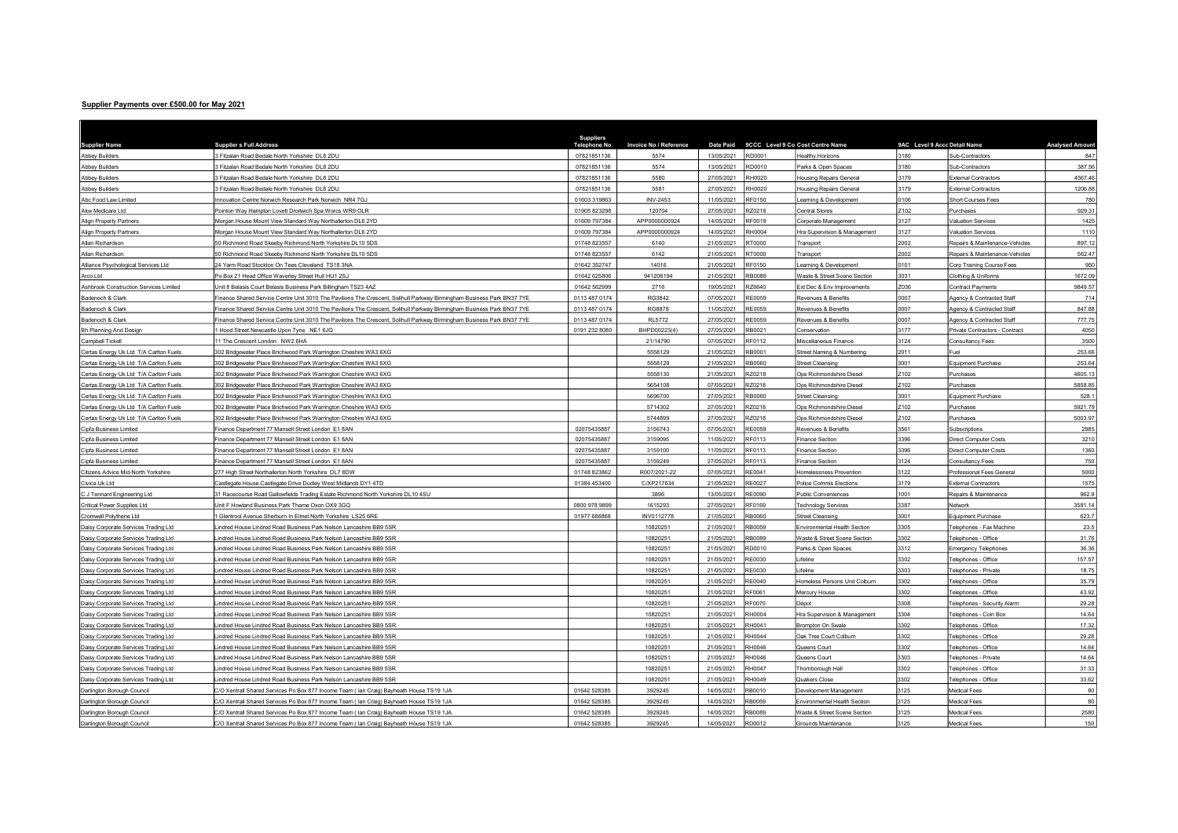## Supplier Payments over £500.00 for May 2021

| <b>Supplier Name</b>                   | <b>Supplier s Full Address</b>                                                                                         | <b>Suppliers</b><br>Telephone No | <b>Invoice No / Reference</b> | Date Paid  |               | 9CCC Level 9 Co Cost Centre Name | 9AC Level 9 Accc Detail Name |                                | Analysed Amoun |
|----------------------------------------|------------------------------------------------------------------------------------------------------------------------|----------------------------------|-------------------------------|------------|---------------|----------------------------------|------------------------------|--------------------------------|----------------|
| <b>Abbey Builders</b>                  | Fitzalan Road Bedale North Yorkshire DL8 2DU                                                                           | 07821851136                      | 5574                          | 13/05/2021 | RD0001        | lealthy Horizons                 | 3180                         | Sub-Contractors                | 847            |
| <b>Abbey Builders</b>                  | Fitzalan Road Bedale North Yorkshire DL8 2DU                                                                           | 07821851136                      | 5574                          | 13/05/2021 | RD0010        | Parks & Open Spaces              | 3180                         | Sub-Contractors                | 387.56         |
| <b>Abbey Builders</b>                  | Fitzalan Road Bedale North Yorkshire DL8 2DU                                                                           | 07821851136                      | 5580                          | 27/05/2021 | <b>RH0020</b> | <b>Housing Repairs General</b>   | 3179                         | <b>External Contractors</b>    | 4567.46        |
| <b>Abbey Builders</b>                  | Fitzalan Road Bedale North Yorkshire DL8 2DU                                                                           | 07821851136                      | 5581                          | 27/05/2021 | RH0020        | <b>Housing Repairs General</b>   | 3179                         | External Contractors           | 1206.88        |
| Abc Food Law Limited                   | nnovation Centre Norwich Research Park Norwich NR4 7GJ                                                                 | 01603 319863                     | <b>INV-2453</b>               | 11/05/2021 | RF0150        | earning & Development            | 0106                         | Short Courses Fees             | 780            |
| Akw Medicare Ltd                       | Pointon Way Hampton Lovett Droitwich Spa Worcs WR9 OLR                                                                 | 01905 823298                     | 120704                        | 27/05/2021 | RZ0216        | <b>Central Stores</b>            | Z102                         | Purchases                      | 929.31         |
| Align Property Partners                | Morgan House Mount View Standard Way Northallerton DL6 2YD                                                             | 01609 797384                     | APP0000000924                 | 14/05/2021 | <b>RF0019</b> | Corporate Management             | 3127                         | <b>Valuation Services</b>      | 1425           |
| Align Property Partners                | Morgan House Mount View Standard Way Northallerton DL6 2YD                                                             | 01609 797384                     | APP0000000924                 | 14/05/2021 | RH0004        | Hra Supervision & Management     | 3127                         | <b>Valuation Services</b>      | 1110           |
| Allan Richardson                       | 0 Richmond Road Skeeby Richmond North Yorkshire DL10 5DS                                                               | 01748 823557                     | 6140                          | 21/05/2021 | <b>RT0000</b> | Transport                        | 2002                         | Repairs & Maintenance-Vehicles | 897.12         |
| Allan Richardson                       | 0 Richmond Road Skeeby Richmond North Yorkshire DL10 5DS                                                               | 01748 823557                     | 6142                          | 21/05/2021 | <b>RT0000</b> | Transport                        | 2002                         | Repairs & Maintenance-Vehicles | 562.47         |
| Alliance Psychological Services Ltd    | 24 Yarm Road Stockton On Tees Cleveland TS18 3NA                                                                       | 01642 352747                     | 14016                         | 21/05/2021 | RF0150        | earning & Development            | 0101                         | Corp Training Course Fees      | 950            |
| Arco Ltd                               | Po Box 21 Head Office Waverlev Street Hull HU1 2SJ                                                                     | 01642 625806                     | 941208194                     | 21/05/2021 | <b>RB0089</b> | Waste & Street Scene Section     | 3031                         | Clothing & Uniforms            | 1672.09        |
| Ashbrook Construction Services Limited | Init 8 Belasis Court Belasis Business Park Billingham TS23 4AZ                                                         | 01642 562999                     | 2716                          | 19/05/2021 | RZ6640        | Ext Dec & Env Improvements       | Z036                         | <b>Contract Payments</b>       | 9849.57        |
| Badenoch & Clark                       | Finance Shared Service Centre Unit 3010 The Pavilions The Crescent, Solihull Parkway Birmingham Business Park BN37 7YE | 0113 487 0174                    | RG3842                        | 07/05/2021 | <b>RE0059</b> | Revenues & Benefits              | 0007                         | Agency & Contracted Staff      | 714            |
| Badenoch & Clark                       | Finance Shared Service Centre Unit 3010 The Pavilions The Crescent, Solihull Parkway Birmingham Business Park BN37 7YE | 0113 487 0174                    | RG8878                        | 11/05/2021 | <b>RE0059</b> | Revenues & Benefits              | 0007                         | Agency & Contracted Staff      | 847.88         |
| Badenoch & Clark                       | Finance Shared Service Centre Unit 3010 The Pavilions The Crescent, Solihull Parkway Birmingham Business Park BN37 7YE | 0113 487 0174                    | <b>RL5772</b>                 | 27/05/2021 | <b>RE0059</b> | Revenues & Benefits              | 0007                         | Agency & Contracted Staff      | 777.75         |
| <b>Bh Planning And Design</b>          | Hood Street Newcastle Upon Tyne NE1 6JQ                                                                                | 0191 232 8080                    | BHPD00223(4)                  | 27/05/2021 | RB0021        | Conservation                     | 3177                         | Private Contractors - Contract | 4050           |
| Campbell Tickell                       | 1 The Crescent London NW2 6HA                                                                                          |                                  | 21/14790                      | 07/05/2021 | RF0112        | Miscellaneous Finance            | 3124                         | Consultancy Fees               | 3500           |
| Certas Energy Uk Ltd T/A Carlton Fuels | 302 Bridgewater Place Brichwood Park Warrington Cheshire WA3 6XG                                                       |                                  | 5558129                       | 21/05/2021 | RB0001        | Street Naming & Numbering        | 2011                         | Fuel                           | 253.66         |
| Certas Energy Uk Ltd T/A Carlton Fuels | 302 Bridgewater Place Brichwood Park Warrington Cheshire WA3 6XG                                                       |                                  | 5558129                       | 21/05/2021 | RB0060        | Street Cleansing                 | 3001                         | Equipment Purchase             | 253.64         |
| Certas Energy Uk Ltd T/A Carlton Fuels | 302 Bridgewater Place Brichwood Park Warrington Cheshire WA3 6XG                                                       |                                  | 5558130                       | 21/05/2021 | RZ0218        | Ops Richmondshire Diesel         | Z102                         | Purchases                      | 4605.13        |
| Certas Energy Uk Ltd T/A Carlton Fuels | 02 Bridgewater Place Brichwood Park Warrington Cheshire WA3 6XG                                                        |                                  | 5654108                       | 07/05/2021 | RZ0218        | Ops Richmondshire Diesel         | Z102                         | Purchases                      | 5858.85        |
| certas Energy Uk Ltd T/A Carlton Fuels | 02 Bridgewater Place Brichwood Park Warrington Cheshire WA3 6XG                                                        |                                  | 5696700                       | 27/05/2021 | RB0060        | <b>Street Cleansing</b>          | 3001                         | Equipment Purchase             | 528.1          |
| Certas Energy Uk Ltd T/A Carlton Fuels | 302 Bridgewater Place Brichwood Park Warrington Cheshire WA3 6XG                                                       |                                  | 5714302                       | 27/05/2021 | RZ0218        | Ops Richmondshire Diesel         | Z102                         | Purchases                      | 5921.79        |
| Certas Energy Uk Ltd T/A Carlton Fuels | 302 Bridgewater Place Brichwood Park Warrington Cheshire WA3 6XG                                                       |                                  | 5744899                       | 27/05/2021 | R70218        | Ops Richmondshire Diesel         | Z <sub>102</sub>             | Purchases                      | 5003.97        |
| Cipfa Business Limited                 | Finance Department 77 Mansell Street London E1 8AN                                                                     | 02075435887                      | 3156743                       | 07/05/2021 | <b>RE0059</b> | Revenues & Benefits              | 3561                         | Subscriptions                  | 2985           |
| Cipfa Business Limited                 | inance Department 77 Mansell Street London E1 8AN                                                                      | 02075435887                      | 3159095                       | 11/05/2021 | RF0113        | Finance Section                  | 3396                         | <b>Direct Computer Costs</b>   | 3210           |
| Cipfa Business Limited                 | Finance Department 77 Mansell Street London E1 8AN                                                                     | 02075435887                      | 3159100                       | 11/05/2021 | RF0113        | Finance Section                  | 3396                         | Direct Computer Costs          | 1360           |
| Cipfa Business Limited                 | inance Department 77 Mansell Street London E1 8AN                                                                      | 02075435887                      | 3159249                       | 27/05/2021 | RF0113        | <b>Finance Section</b>           | 3124                         | Consultancy Fees               | 750            |
| Citizens Advice Mid-North Yorkshire    | 277 High Street Northallerton North Yorkshire DL7 8DW                                                                  | 01748 823862                     | R007/2021-22                  | 07/05/2021 | <b>RE0041</b> | Homelessness Prevention          | 3122                         | Professional Fees General      | 5000           |
| Civica Uk Ltd                          | Castlegate House Castlegate Drive Dudley West Midlands DY1 4TD                                                         | 01384 453400                     | C/XP217634                    | 21/05/2021 | <b>RE0027</b> | Police Commis Elections          | 3179                         | <b>External Contractors</b>    | 1575           |
| C J Tennant Engineering Ltd            | 1 Racecourse Road Gallowfields Trading Estate Richmond North Yorkshire DL10 4SU                                        |                                  | 3896                          | 13/05/2021 | RE0090        | Public Conveniences              | 1001                         | Repairs & Maintenance          | 962.9          |
| Critical Power Supplies Ltd            | nit F Howland Business Park Thame Oxon OX9 3GQ                                                                         | 0800 978 9899                    | 1615293                       | 27/05/2021 | RF0169        | <b>Technology Services</b>       | 3387                         | Network                        | 3581.14        |
| Cromwell Polythene Ltd                 | Glentrool Avenue Sherburn In Elmet North Yorkshire LS25 6RE                                                            | 01977 686868                     | INV0112778                    | 21/05/2021 | RB0060        | Street Cleansing                 | 3001                         | Equipment Purchase             | 623.7          |
| Daisy Corporate Services Trading Ltd   | indred House Lindred Road Business Park Nelson Lancashire BB9 5SR                                                      |                                  | 10820251                      | 21/05/2021 | RB0059        | Environmental Health Section     | 3305                         | Telephones - Fax Machine       | 23.5           |
| Daisy Corporate Services Trading Ltd   | indred House Lindred Road Business Park Nelson Lancashire BB9 5SR                                                      |                                  | 10820251                      | 21/05/2021 | RB0089        | Waste & Street Scene Section     | 3302                         | Telephones - Office            | 31.76          |
| Daisy Corporate Services Trading Ltd   | indred House Lindred Road Business Park Nelson Lancashire BB9 5SR                                                      |                                  | 10820251                      | 21/05/2021 | RD0010        | Parks & Open Spaces              | 3312                         | <b>Emergency Telephones</b>    | 36.36          |
| Daisy Corporate Services Trading Ltd   | indred House Lindred Road Business Park Nelson Lancashire BB9 5SR                                                      |                                  | 10820251                      | 21/05/2021 | <b>RE0030</b> | ifeline                          | 3302                         | Telephones - Office            | 157.57         |
| Daisy Corporate Services Trading Ltd   | indred House Lindred Road Business Park Nelson Lancashire BB9 5SR                                                      |                                  | 10820251                      | 21/05/2021 | <b>RE0030</b> | .ifeline                         | 3303                         | Telephones - Private           | 18.75          |
| Daisy Corporate Services Trading Ltd   | indred House Lindred Road Business Park Nelson Lancashire BB9 5SR                                                      |                                  | 10820251                      | 21/05/2021 | <b>RE0040</b> | Homeless Persons Unit Colburn    | 3302                         | Telephones - Office            | 35.79          |
| Daisy Corporate Services Trading Ltd   | indred House Lindred Road Business Park Nelson Lancashire BB9 5SR                                                      |                                  | 10820251                      | 21/05/2021 | RF0061        | Mercury House                    | 3302                         | Telephones - Office            | 43.92          |
| Daisy Corporate Services Trading Ltd   | indred House Lindred Road Business Park Nelson Lancashire BB9 5SR                                                      |                                  | 10820251                      | 21/05/2021 | RF0070        | Depot                            | 3308                         | Telephones - Security Alarm    | 29.28          |
| Daisy Corporate Services Trading Ltd   | indred House Lindred Road Business Park Nelson Lancashire BB9 5SR                                                      |                                  | 10820251                      | 21/05/2021 | RH0004        | Hra Supervision & Management     | 3304                         | Telephones - Coin Box          | 14.64          |
| Daisy Corporate Services Trading Ltd   | indred House Lindred Road Business Park Nelson Lancashire BB9 5SR                                                      |                                  | 10820251                      | 21/05/2021 | RH0041        | <b>Brompton On Swale</b>         | 3302                         | Telephones - Office            | 17.32          |
| Daisy Corporate Services Trading Ltd   | indred House Lindred Road Business Park Nelson Lancashire BB9 5SR                                                      |                                  | 10820251                      | 21/05/2021 | RH0044        | Oak Tree Court Colburn           | 3302                         | Telephones - Office            | 29.28          |
| Daisy Corporate Services Trading Ltd   | indred House Lindred Road Business Park Nelson Lancashire BB9 5SR                                                      |                                  | 10820251                      | 21/05/2021 | RH0046        | Queens Court                     | 3302                         | Telephones - Office            | 14.64          |
| Daisy Corporate Services Trading Ltd   | indred House Lindred Road Business Park Nelson Lancashire BB9 5SR                                                      |                                  | 10820251                      | 21/05/2021 | RH0046        | Queens Court                     | 3303                         | Telephones - Private           | 14.64          |
| Daisy Corporate Services Trading Ltd   | indred House Lindred Road Business Park Nelson Lancashire BB9 5SR                                                      |                                  | 10820251                      | 21/05/2021 | RH0047        | Thornborough Hall                | 3302                         | Telephones - Office            | 31.33          |
| Daisy Corporate Services Trading Ltd   | indred House Lindred Road Business Park Nelson Lancashire BB9 5SR                                                      |                                  | 10820251                      | 21/05/2021 | RH0049        | Quakers Close                    | 3302                         | Telephones - Office            | 33.62          |
| Darlington Borough Council             | C/O Xentrall Shared Services Po Box 877 Income Team (Ian Craig) Bayheath House TS19 1JA                                | 01642 528385                     | 3929245                       | 14/05/2021 | RB0010        | Development Management           | 3125                         | <b>Medical Fees</b>            | 80             |
| Darlington Borough Council             | %O Xentrall Shared Services Po Box 877 Income Team ( lan Craig) Bayheath House TS19 1JA                                | 01642 528385                     | 3929245                       | 14/05/2021 | RB0059        | Invironmental Health Section     | 3125                         | Medical Fees                   | 80             |
| Darlington Borough Council             | %O Xentrall Shared Services Po Box 877 Income Team (Ian Craig) Bayheath House TS19 1JA                                 | 01642 528385                     | 3929245                       | 14/05/2021 | RB0089        | Waste & Street Scene Section     | 3125                         | Medical Fees                   | 2580           |
| Darlington Borough Council             | C/O Xentrall Shared Services Po Box 877 Income Team (Ian Craig) Bayheath House TS19 1JA                                | 01642 528385                     | 3929245                       | 14/05/2021 | RD0012        | Grounds Maintenance              | 3125                         | <b>Medical Fees</b>            | 150            |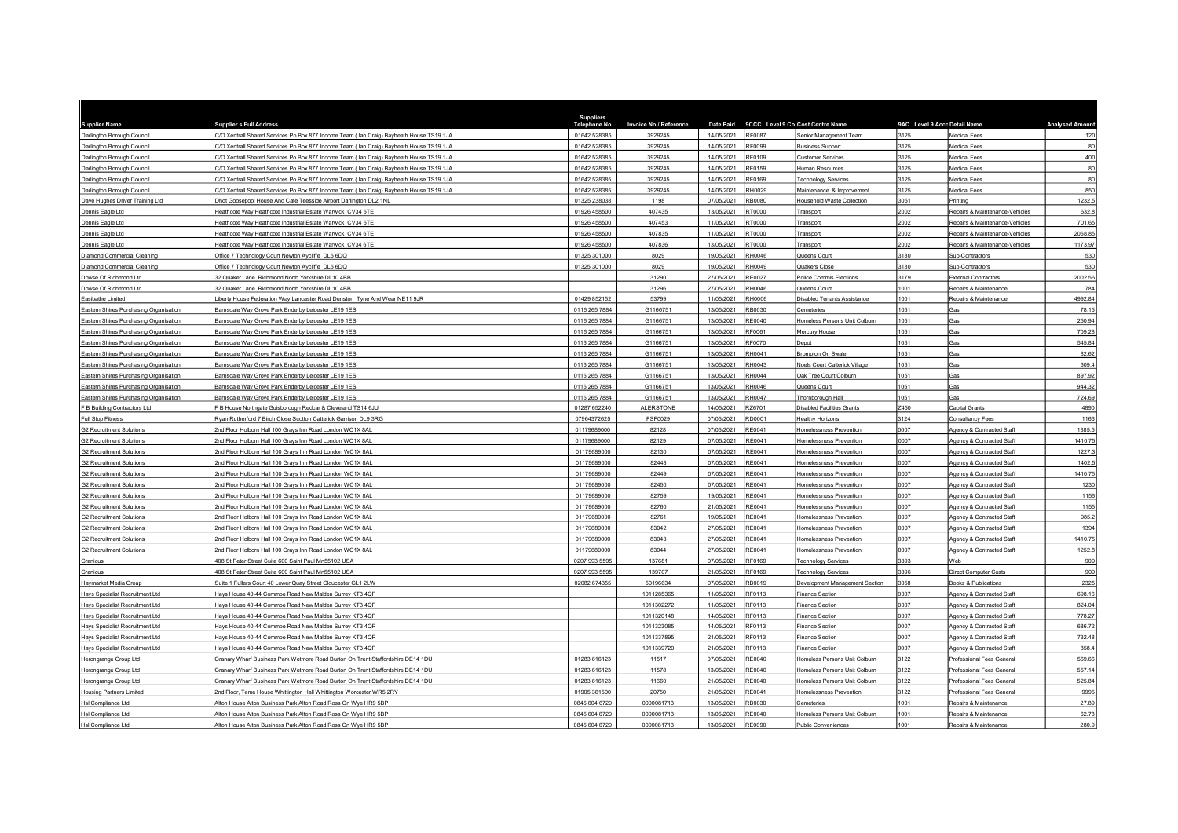| <b>Supplier Name</b>                                               | <b>Supplier s Full Address</b>                                                                                   | <b>Suppliers</b><br><b>Telephone No</b> | Invoice No / Reference   |                          |                  | Date Paid 9CCC Level 9 Co Cost Centre Name | 9AC Level 9 Accc Detail Name |                                                        | <b>Analysed Amoun</b> |
|--------------------------------------------------------------------|------------------------------------------------------------------------------------------------------------------|-----------------------------------------|--------------------------|--------------------------|------------------|--------------------------------------------|------------------------------|--------------------------------------------------------|-----------------------|
| Darlington Borough Council                                         | C/O Xentrall Shared Services Po Box 877 Income Team ( Ian Craig) Bayheath House TS19 1JA                         | 01642 528385                            | 3929245                  | 14/05/2021               | <b>RF0087</b>    | Senior Management Team                     | 3125                         | <b>Medical Fees</b>                                    | 120                   |
| Darlington Borough Council                                         | C/O Xentrall Shared Services Po Box 877 Income Team ( lan Craig) Bayheath House TS19 1JA                         | 01642 528385                            | 3929245                  | 14/05/2021               | <b>RF0099</b>    | <b>Business Support</b>                    | 3125                         | <b>Medical Fees</b>                                    | 80                    |
| Darlington Borough Council                                         | C/O Xentrall Shared Services Po Box 877 Income Team ( lan Craig) Bayheath House TS19 1JA                         | 01642 528385                            | 3929245                  | 14/05/2021               | RF0109           | Customer Services                          | 3125                         | Medical Fees                                           | 400                   |
| Darlington Borough Council                                         | C/O Xentrall Shared Services Po Box 877 Income Team (Ian Craig) Bayheath House TS19 1JA                          | 01642 528385                            | 3929245                  | 14/05/2021               | RF0159           | Human Resources                            | 3125                         | <b>Medical Fees</b>                                    | 80                    |
| Darlington Borough Council                                         | C/O Xentrall Shared Services Po Box 877 Income Team ( Ian Craig) Bayheath House TS19 1JA                         | 01642 528385                            | 3929245                  | 14/05/2021               | RF0169           | Technology Services                        | 3125                         | <b>Medical Fees</b>                                    | 80                    |
| Darlington Borough Council                                         | C/O Xentrall Shared Services Po Box 877 Income Team ( lan Craig) Bayheath House TS19 1JA                         | 01642 52838                             | 3929245                  | 14/05/2021               | RH0029           | Maintenance & Improvement                  | 3125                         | <b>Medical Fees</b>                                    | 850                   |
| Dave Hughes Driver Training Ltd                                    | Ohdt Goosepool House And Cafe Teesside Airport Darlington DL2 1NL                                                | 01325 238038                            | 1198                     | 07/05/2021               | RB0080           | Household Waste Collection                 | 3051                         | Printing                                               | 1232.5                |
| Dennis Eagle Ltd                                                   | leathcote Way Heathcote Industrial Estate Warwick CV34 6TE                                                       | 01926 458500                            | 407435                   | 13/05/2021               | <b>RT0000</b>    | Transport                                  | 2002                         | Repairs & Maintenance-Vehicles                         | 632.8                 |
| Dennis Eagle Ltd                                                   | leathcote Way Heathcote Industrial Estate Warwick CV34 6TE                                                       | 01926 458500                            | 407453                   | 11/05/2021               | RT0000           | Transport                                  | 2002                         | Repairs & Maintenance-Vehicles                         | 701.65                |
| Dennis Eagle Ltd                                                   | leathcote Way Heathcote Industrial Estate Warwick CV34 6TE                                                       | 01926 458500                            | 407835                   | 11/05/2021               | RT0000           | Transport                                  | 2002                         | Repairs & Maintenance-Vehicles                         | 2068.8                |
| Dennis Eagle Ltd                                                   | leathcote Way Heathcote Industrial Estate Warwick CV34 6TE                                                       | 01926 458500                            | 407836                   | 13/05/2021               | RT0000           | Transport                                  | 2002                         | Repairs & Maintenance-Vehicles                         | 1173.9                |
| Diamond Commercial Cleaning                                        | Office 7 Technology Court Newton Aycliffe DL5 6DQ                                                                | 01325 301000                            | 8029                     | 19/05/2021               | RH0046           | Queens Court                               | 3180                         | Sub-Contractors                                        | 530                   |
| Diamond Commercial Cleaning                                        | Office 7 Technology Court Newton Aycliffe DL5 6DQ                                                                | 01325 301000                            | 8029                     | 19/05/2021               | RH0049           | Quakers Close                              | 3180                         | Sub-Contractors                                        | 530                   |
| Dowse Of Richmond Ltd                                              | 32 Quaker Lane Richmond North Yorkshire DL10 4BB                                                                 |                                         | 31290                    | 27/05/2021               | <b>RE0027</b>    | Police Commis Elections                    | 3179                         | <b>External Contractors</b>                            | 2002.56               |
| Dowse Of Richmond Ltd                                              | 32 Quaker Lane, Richmond North Yorkshire DJ 10 4BP                                                               |                                         | 31296                    | 27/05/2021               | RHOO46           | Queens Court                               | 1001                         | Repairs & Maintenance                                  | 784                   |
| asibathe Limited                                                   | iberty House Federation Way Lancaster Road Dunston Tyne And Wear NE11 9JR                                        | 01429 852152                            | 53799                    | 11/05/2021               | <b>RH0006</b>    | <b>Disabled Tenants Assistance</b>         | 1001                         | Renairs & Maintenance                                  | 4992.8                |
| Eastern Shires Purchasing Organisation                             | Barnsdale Way Grove Park Enderby Leicester LE19 1ES                                                              | 0116 265 7884                           | G1166751                 | 13/05/2021               | RB0030           | Cemeteries                                 | 1051                         | Gas                                                    | 78.15                 |
| Eastern Shires Purchasing Organisation                             | arnsdale Way Grove Park Enderby Leicester LE19 1ES                                                               | 0116 265 7884                           | G1166751                 | 13/05/2021               | RE0040           | Homeless Persons Unit Colburn              | 1051                         | Gas                                                    | 250.94                |
| Eastern Shires Purchasing Organisation                             | 3arnsdale Way Grove Park Enderby Leicester LE19 1ES                                                              | 0116 265 7884                           | G1166751                 | 13/05/2021               | RF0061           | Mercury House                              | 1051                         | Gas                                                    | 709.28                |
| Eastern Shires Purchasing Organisation                             | arnsdale Wav Grove Park Enderby Leicester LE19 1ES                                                               | 0116 265 7884                           | G1166751                 | 13/05/2021               | <b>RF0070</b>    | Depot                                      | 1051                         | Gas                                                    | 545.84                |
| Eastern Shires Purchasing Organisation                             | arnsdale Way Grove Park Enderby Leicester LE19 1ES                                                               | 0116 265 7884                           | G1166751                 | 13/05/2021               | RH0041           | Brompton On Swale                          | 1051                         | Gas                                                    | 82.62                 |
| Eastern Shires Purchasing Organisation                             | Barnsdale Way Grove Park Enderby Leicester LE19 1ES                                                              | 0116 265 7884                           | G1166751                 | 13/05/2021               | RH0043           | Noels Court Catterick Village              | 1051                         | Gas                                                    | 609.4                 |
| Eastern Shires Purchasing Organisation                             | arnsdale Way Grove Park Enderby Leicester LE19 1ES                                                               | 0116 265 7884                           | G1166751                 | 13/05/2021               | RH0044           | Oak Tree Court Colburn                     | 1051                         | Gas                                                    | 897.9                 |
| Eastern Shires Purchasing Organisation                             | arnsdale Way Grove Park Enderby Leicester LE19 1ES                                                               | 0116 265 7884                           | G1166751                 | 13/05/2021               | RH0046           | Queens Court                               | 1051                         | Gas                                                    | 944.32                |
| Eastern Shires Purchasing Organisation                             | Barnsdale Way Grove Park Enderby Leicester LE19 1ES                                                              | 0116 265 7884                           | G1166751                 | 13/05/2021               | <b>RH0047</b>    | Thornborough Hall                          | 1051                         | Gas                                                    | 724.69                |
| F B Building Contractors Ltd                                       | B House Northgate Guisborough Redcar & Cleveland TS14 6JU                                                        | 01287 652240                            | <b>ALERSTONE</b>         | 14/05/2021               | RZ6701           | <b>Disabled Facilities Grants</b>          | Z450                         | Capital Grants                                         | 4890                  |
| Full Stop Fitness                                                  | tyan Rutherford 7 Birch Close Scotton Catterick Garrison DL9 3RG                                                 | 07964372625                             | <b>FSF0029</b>           | 07/05/2021               | RD0001           | <b>Healthy Horizons</b>                    | 3124                         | Consultancy Fees                                       | 1166                  |
| G2 Recruitment Solutions                                           | Ind Floor Holborn Hall 100 Grays Inn Road London WC1X 8AL                                                        | 01179689000                             | 82128                    | 07/05/2021               | <b>RE0041</b>    | Homelessness Prevention                    | 0007                         | Agency & Contracted Staff                              | 1385.                 |
| <b>G2 Recruitment Solutions</b>                                    | Ind Floor Holborn Hall 100 Grays Inn Road London WC1X 8AL                                                        | 01179689000                             | 82129                    | 07/05/2021               | <b>RE0041</b>    | Homelessness Prevention                    | 0007                         | Agency & Contracted Staff                              | 1410.7                |
| 32 Recruitment Solutions                                           | nd Floor Holborn Hall 100 Grays Inn Road London WC1X 8AL                                                         | 01179689000                             | 82130                    | 07/05/2021               | <b>RE0041</b>    | Homelessness Prevention                    | 0007                         | Agency & Contracted Staff                              | 1227.                 |
| <b>G2 Recruitment Solutions</b>                                    | nd Floor Holborn Hall 100 Grays Inn Road London WC1X 8AL                                                         | 01179689000                             | 82448                    | 07/05/2021               | RE0041           | Homelessness Prevention                    | 0007                         | Agency & Contracted Staff                              | 1402.                 |
| <b>G2 Recruitment Solutions</b>                                    | Ind Floor Holborn Hall 100 Grays Inn Road London WC1X 8AL                                                        | 01179689000                             | 82449                    | 07/05/2021               | RE0041           | Homelessness Prevention                    | 0007                         | Agency & Contracted Staff                              | 1410.7                |
| <b>G2 Recruitment Solutions</b>                                    | nd Floor Holborn Hall 100 Grays Inn Road London WC1X 8AL                                                         | 01179689000                             | 82450                    | 07/05/2021               | RE0041           | Homelessness Prevention                    | 0007                         | Agency & Contracted Staff                              | 1230                  |
| <b>G2 Recruitment Solutions</b>                                    | nd Floor Holborn Hall 100 Grays Inn Road London WC1X 8AL                                                         | 01179689000                             | 82759                    | 19/05/2021               | RE0041           | Homelessness Prevention                    | 0007                         | Agency & Contracted Staff                              | 1156                  |
| 32 Recruitment Solutions                                           | nd Floor Holborn Hall 100 Grays Inn Road London WC1X 8AL                                                         | 01179689000                             | 82760                    | 21/05/2021               | <b>RE0041</b>    | Homelessness Prevention                    | 0007                         | Agency & Contracted Staff                              | 1155                  |
| <b>G2 Recruitment Solutions</b>                                    | Ind Floor Holborn Hall 100 Grays Inn Road London WC1X 8AL                                                        | 01179689000                             | 82761                    | 19/05/2021               | RE0041           | Homelessness Prevention                    | 0007                         | Agency & Contracted Staff                              | 985.                  |
| <b>G2 Recruitment Solutions</b>                                    | nd Floor Holborn Hall 100 Grays Inn Road London WC1X 8AL                                                         | 01179689000                             | 83042                    | 27/05/2021               | RE0041           | Homelessness Prevention                    | 0007                         | Agency & Contracted Staff                              | 1394                  |
| <b>G2 Recruitment Solutions</b>                                    | nd Floor Holborn Hall 100 Grays Inn Road London WC1X 8AI                                                         | 01179689000                             | 83043                    | 27/05/2021               | RE0041           | Homelessness Prevention                    | 0007                         | Agency & Contracted Staf                               | 1410.7                |
| <b>G2 Recruitment Solutions</b>                                    | 2nd Floor Holborn Hall 100 Grays Inn Road London WC1X 8AL                                                        | 01179689000                             | 83044                    | 27/05/2021               | RE0041           | Homelessness Prevention                    | 0007                         | Agency & Contracted Staff                              | 1252.8                |
| Granicus                                                           | 08 St Peter Street Suite 600 Saint Paul Mn55102 USA                                                              | 0207 993 5595                           | 137681                   | 07/05/2021               | RF0169           | <b>Technology Services</b>                 | 3393                         | Web                                                    | 909                   |
| Granicus                                                           | 08 St Peter Street Suite 600 Saint Paul Mn55102 USA                                                              | 0207 993 5595                           | 139707                   | 21/05/2021               | RF0169           | <b>Technology Services</b>                 | 3396                         | Direct Computer Costs                                  | 909                   |
| Haymarket Media Group                                              | Juite 1 Fullers Court 40 Lower Quay Street Gloucester GL1 2LW                                                    | 02082 674355                            | 50196634                 | 07/05/2021               | RB0019           | Development Management Section             | 3058                         | Books & Publications                                   | 2325                  |
| Hays Specialist Recruitment Ltd                                    | lays House 40-44 Commbe Road New Malden Surrey KT3 4QF                                                           |                                         | 1011285365               | 11/05/2021               | RF0113           | Finance Section                            | 0007                         | Agency & Contracted Staff                              | 698.1                 |
| Hays Specialist Recruitment Ltd                                    | lays House 40-44 Commbe Road New Malden Surrey KT3 4QF                                                           |                                         | 1011302272               | 11/05/2021<br>14/05/2021 | RF0113<br>RF0113 | Finance Section                            | 0007<br>0007                 | Agency & Contracted Staff                              | 824.04                |
| Hays Specialist Recruitment Ltd<br>Hays Specialist Recruitment Ltd | lays House 40-44 Commbe Road New Malden Surrey KT3 4QF<br>lays House 40-44 Commbe Road New Malden Surrey KT3 4QF |                                         | 1011320148<br>1011323085 | 14/05/2021               | RF0113           | Finance Section<br>Finance Section         | 0007                         | Agency & Contracted Staff<br>Agency & Contracted Staff | 778.27<br>686.7       |
|                                                                    |                                                                                                                  |                                         | 1011337895               | 21/05/2021               | RF0113           |                                            | 0007                         |                                                        |                       |
| Hays Specialist Recruitment Ltd                                    | lays House 40-44 Commbe Road New Malden Surrey KT3 4QF<br>lays House 40-44 Commbe Road New Malden Surrey KT3 4QF |                                         | 1011339720               | 21/05/2021               | RF0113           | Finance Section<br>Finance Section         | 0007                         | Agency & Contracted Staff<br>Agency & Contracted Staff | 732.4<br>858.         |
| Hays Specialist Recruitment Ltd<br>Herongrange Group Ltd           | Granary Wharf Business Park Wetmore Road Burton On Trent Staffordshire DE14 1DU                                  | 01283 616123                            | 11517                    | 07/05/2021               | RE0040           | Homeless Persons Unit Colburn              | 3122                         | Professional Fees General                              | 569.66                |
| Herongrange Group Ltd                                              | Granary Wharf Business Park Wetmore Road Burton On Trent Staffordshire DE14 1DU                                  | 01283 616123                            | 11578                    | 13/05/2021               | <b>RE0040</b>    | Homeless Persons Unit Colburn              | 3122                         | Professional Fees General                              | 557.1                 |
| Herongrange Group Ltd                                              | Franary Wharf Business Park Wetmore Road Burton On Trent Staffordshire DE14 1DU                                  | 01283 616123                            | 11660                    | 21/05/2021               | <b>RE0040</b>    | Homeless Persons Unit Colburn              | 3122                         | Professional Fees Genera                               | 525.84                |
| <b>Housing Partners Limited</b>                                    | Ind Floor, Teme House Whittington Hall Whittington Worcester WR5 2RY                                             | 01905 361500                            | 20750                    | 21/05/2021               | RE0041           | Homelessness Prevention                    | 3122                         | Professional Fees General                              | 9995                  |
| Hsl Compliance Ltd                                                 | Alton House Alton Business Park Alton Road Ross On Wye HR9 5BP                                                   | 0845 604 6729                           | 0000081713               | 13/05/2021               | <b>RB0030</b>    | Cemeteries                                 | 1001                         | Renairs & Maintenance                                  | 27.89                 |
| Hsl Compliance Ltd                                                 | Alton House Alton Business Park Alton Road Ross On Wye HR9 5BP                                                   | 0845 604 6729                           | 0000081713               | 13/05/2021               | <b>RE0040</b>    | Homeless Persons Unit Colbum               | 1001                         | Repairs & Maintenance                                  | 62.78                 |
| HsI Compliance Ltd                                                 | Alton House Alton Business Park Alton Road Ross On Wye HR9 5BP                                                   | 0845 604 6729                           | 0000081713               | 13/05/2021               | <b>RE0090</b>    | Public Conveniences                        | 1001                         | Repairs & Maintenance                                  | 280.9                 |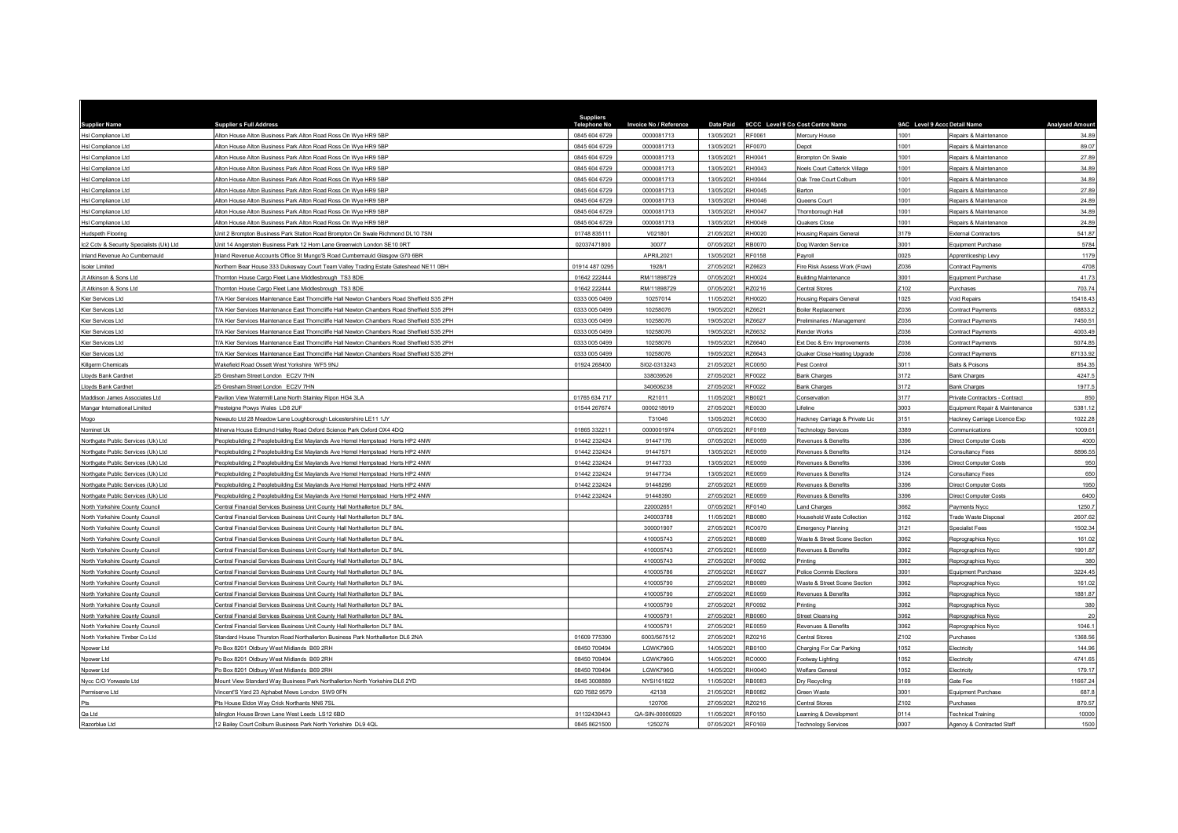| <b>Supplier Name</b>                     | <b>Supplier s Full Address</b>                                                             | <b>Suppliers</b><br><b>Telephone No</b> | Invoice No / Reference |            |               | Date Paid 9CCC Level 9 Co Cost Centre Name | 9AC Level 9 Accc Detail Name |                                | <b>Analysed Amoun</b> |
|------------------------------------------|--------------------------------------------------------------------------------------------|-----------------------------------------|------------------------|------------|---------------|--------------------------------------------|------------------------------|--------------------------------|-----------------------|
| Hsl Compliance Ltd                       | Alton House Alton Business Park Alton Road Ross On Wye HR9 5BP                             | 0845 604 6729                           | 0000081713             | 13/05/2021 | RF0061        | Mercury House                              | 1001                         | Repairs & Maintenance          | 34.89                 |
| Hsl Compliance Ltd                       | Alton House Alton Business Park Alton Road Ross On Wye HR9 5BP                             | 0845 604 6729                           | 0000081713             | 13/05/2021 | RF0070        | Depot                                      | 1001                         | Repairs & Maintenance          | 89.07                 |
| Hsl Compliance Ltd                       | Alton House Alton Business Park Alton Road Ross On Wye HR9 5BP                             | 0845 604 6729                           | 0000081713             | 13/05/2021 | RH0041        | Brompton On Swale                          | 1001                         | Repairs & Maintenance          | 27.89                 |
| Hsl Compliance Ltd                       | Alton House Alton Business Park Alton Road Ross On Wye HR9 5BP                             | 0845 604 6729                           | 0000081713             | 13/05/2021 | RH0043        | Noels Court Catterick Village              | 1001                         | Repairs & Maintenance          | 34.89                 |
| Hsl Compliance Ltd                       | Alton House Alton Business Park Alton Road Ross On Wye HR9 5BP                             | 0845 604 6729                           | 0000081713             | 13/05/2021 | RH0044        | Oak Tree Court Colburn                     | 1001                         | Repairs & Maintenance          | 34.89                 |
| Hsl Compliance Ltd                       | Alton House Alton Business Park Alton Road Ross On Wye HR9 5BP                             | 0845 604 6729                           | 0000081713             | 13/05/2021 | RH0045        | <b>Barton</b>                              | 1001                         | Repairs & Maintenance          | 27.8                  |
| Hsl Compliance Ltd                       | <b>Ifon House Alton Business Park Alton Road Ross On Wye HR9 5BP</b>                       | 0845 604 6729                           | 0000081713             | 13/05/2021 | RH0046        | Queens Court                               | 1001                         | Repairs & Maintenance          | 24.89                 |
| Hsl Compliance Ltd                       | Alton House Alton Business Park Alton Road Ross On Wye HR9 5BP                             | 0845 604 6729                           | 0000081713             | 13/05/2021 | RH0047        | Thornborough Hall                          | 1001                         | Repairs & Maintenance          | 34.89                 |
| Hsl Compliance Ltd                       | Alton House Alton Business Park Alton Road Ross On Wye HR9 5BP                             | 0845 604 6729                           | 0000081713             | 13/05/2021 | RH0049        | Quakers Close                              | 1001                         | Repairs & Maintenance          | 24.8                  |
| Hudspeth Flooring                        | Init 2 Brompton Business Park Station Road Brompton On Swale Richmond DL10 7SN             | 01748 835111                            | V021801                | 21/05/2021 | RH0020        | <b>Housing Repairs General</b>             | 3179                         | <b>External Contractors</b>    | 541.87                |
| Ic2 Cctv & Security Specialists (Uk) Ltd | Init 14 Angerstein Business Park 12 Horn Lane Greenwich London SE10 0RT                    | 02037471800                             | 30077                  | 07/05/2021 | RB0070        | Oog Warden Service                         | 3001                         | Equipment Purchase             | 5784                  |
| Inland Revenue Ao Cumbernauld            | nland Revenue Accounts Office St Mungo'S Road Cumbernauld Glasgow G70 6BR                  |                                         | APRIL2021              | 13/05/2021 | <b>RF0158</b> | Pavroll                                    | 0025                         | Apprenticeship Levy            | 1179                  |
| <b>Isoler Limited</b>                    | lorthern Bear House 333 Dukesway Court Team Valley Trading Estate Gateshead NE11 0BH       | 01914 487 0295                          | 1928/1                 | 27/05/2021 | RZ6623        | ire Risk Assess Work (Fraw)                | Z036                         | <b>Contract Payments</b>       | 4708                  |
| Jt Atkinson & Sons Ltd                   | hornton House Cargo Fleet Lane Middlesbrough TS3 8DE                                       | 01642 222444                            | RM/11898729            | 07/05/2021 | RH0024        | Building Maintenance                       | 3001                         | Equipment Purchase             | 41.73                 |
| Jt Atkinson & Sons Ltd                   | Thornton House Cargo Fleet Lane Middlesbrough TS3 8DE                                      | 01642 222444                            | RM/11898729            | 07/05/2021 | RZ0216        | Central Stores                             | Z102                         | Purchases                      | 703.74                |
| Kier Services Ltd                        | /A Kier Services Maintenance East Thorncliffe Hall Newton Chambers Road Sheffield S35 2PH  | 0333 005 0499                           | 10257014               | 11/05/2021 | <b>RH0020</b> | <b>Housing Repairs General</b>             | 1025                         | Void Repairs                   | 15418.4               |
| Kier Services Ltd                        | F/A Kier Services Maintenance East Thorncliffe Hall Newton Chambers Road Sheffield S35 2PH | 0333 005 0499                           | 10258076               | 19/05/2021 | RZ6621        | Boiler Replacement                         | Z036                         | Contract Payments              | 68833.2               |
| Kier Services Ltd                        | /A Kier Services Maintenance East Thorncliffe Hall Newton Chambers Road Sheffield S35 2PH  | 0333 005 0499                           | 10258076               | 19/05/2021 | RZ6627        | Preliminaries / Management                 | 2036                         | Contract Payments              | 7450.51               |
| Kier Services I td.                      | F/A Kier Services Maintenance Fast Thorncliffe Hall Newton Chambers Road Sheffield S35 2PH | 0333 005 0499                           | 10258076               | 19/05/2021 | RZ6632        | Render Works                               | Z036                         | <b>Contract Payments</b>       | 4003.49               |
| Kier Services Ltd                        | F/A Kier Services Maintenance East Thorncliffe Hall Newton Chambers Road Sheffield S35 2PH | 0333 005 0499                           | 10258076               | 19/05/2021 | RZ6640        | Ext Dec & Env Improvements                 | Z036                         | Contract Payments              | 5074.8                |
| Kier Services Ltd                        | F/A Kier Services Maintenance East Thorncliffe Hall Newton Chambers Road Sheffield S35 2PH | 0333 005 0499                           | 10258076               | 19/05/2021 | RZ6643        | Quaker Close Heating Upgrade               | Z036                         | Contract Payments              | 87133.92              |
| Killgerm Chemicals                       | Wakefield Road Ossett West Yorkshire WF5 9NJ                                               | 01924 268400                            | SI02-0313243           | 21/05/2021 | <b>RC0050</b> | Pest Control                               | 3011                         | Baits & Poisons                | 854.35                |
| Lloyds Bank Cardnet                      | 5 Gresham Street London EC2V 7HN                                                           |                                         | 338039526              | 27/05/2021 | RF0022        | 3ank Charges                               | 3172                         | Bank Charges                   | 4247.                 |
| Lloyds Bank Cardnet                      | 25 Gresham Street London EC2V 7HN                                                          |                                         | 340606238              | 27/05/2021 | <b>RF0022</b> | <b>Bank Charges</b>                        | 3172                         | <b>Bank Charges</b>            | 1977.                 |
| Maddison James Associates Ltd            | Pavilion View Watermill Lane North Stainley Ripon HG4 3LA                                  | 01765 634 717                           | R21011                 | 11/05/2021 | <b>RB0021</b> | conservation                               | 3177                         | Private Contractors - Contract | 850                   |
| Mangar International Limited             | resteigne Powys Wales LD8 2UF                                                              | 01544 267674                            | 0000218919             | 27/05/2021 | <b>RE0030</b> | ifaline                                    | 3003                         | Equipment Repair & Maintenance | 5381.12               |
| opoM                                     | Vewauto Ltd 28 Meadow Lane Loughborough Leicestershire LE11 1JY                            |                                         | T31046                 | 13/05/2021 | RC0030        | Hackney Carriage & Private Lic             | 3151                         | Hackney Carriage Licence Exp   | 1022.28               |
| Nominet Uk                               | linerva House Edmund Halley Road Oxford Science Park Oxford OX4 4DQ                        | 01865 332211                            | 0000001974             | 07/05/2021 | RF0169        | <b>Fechnology Services</b>                 | 3389                         | Communications                 | 1009.61               |
| Northgate Public Services (Uk) Ltd       | eoplebuilding 2 Peoplebuilding Est Maylands Ave Hemel Hempstead Herts HP2 4NW              | 01442 232424                            | 91447176               | 07/05/2021 | RE0059        | Revenues & Benefits                        | 3396                         | <b>Direct Computer Costs</b>   | 4000                  |
| Northgate Public Services (Uk) Ltd       | eoplebuilding 2 Peoplebuilding Est Maylands Ave Hemel Hempstead Herts HP2 4NW              | 01442 232424                            | 91447571               | 13/05/2021 | RF0059        | Revenues & Benefits                        | 3124                         | Consultancy Fees               | 8896.55               |
| Northgate Public Services (Uk) Ltd       | eoplebuilding 2 Peoplebuilding Est Maylands Ave Hemel Hempstead Herts HP2 4NW              | 01442 232424                            | 91447733               | 13/05/2021 | <b>RE0059</b> | Revenues & Benefits                        | 3396                         | <b>Direct Computer Costs</b>   | 950                   |
| Northgate Public Services (Uk) Ltd       | Peoplebuilding 2 Peoplebuilding Est Maylands Ave Hemel Hempstead Herts HP2 4NW             | 01442 232424                            | 91447734               | 13/05/2021 | <b>RE0059</b> | Revenues & Benefits                        | 3124                         | Consultancy Fees               | 650                   |
| Northgate Public Services (Uk) Ltd       | eoplebuilding 2 Peoplebuilding Est Maylands Ave Hemel Hempstead Herts HP2 4NW              | 01442 232424                            | 91448296               | 27/05/2021 | RE0059        | Revenues & Benefits                        | 3396                         | <b>Direct Computer Costs</b>   | 1950                  |
| Northgate Public Services (Uk) Ltd       | eoplebuilding 2 Peoplebuilding Est Maylands Ave Hemel Hempstead Herts HP2 4NW              | 01442 232424                            | 91448390               | 27/05/2021 | RE0059        | Revenues & Benefits                        | 3396                         | <b>Direct Computer Costs</b>   | 6400                  |
| North Yorkshire County Council           | entral Financial Services Business Unit County Hall Northallerton DL7 8AL                  |                                         | 220002651              | 07/05/2021 | RF0140        | and Charges                                | 3662                         | Payments Nycc                  | 1250.7                |
| North Yorkshire County Counci            | Central Financial Services Business Unit County Hall Northallerton DL7 8AL                 |                                         | 240003788              | 11/05/2021 | RB0080        | <b>Household Waste Collection</b>          | 3162                         | Trade Waste Disposal           | 2607.62               |
| North Yorkshire County Council           | entral Financial Services Business Unit County Hall Northallerton DL7 8AL                  |                                         | 300001907              | 27/05/2021 | RC0070        | <b>Emergency Planning</b>                  | 3121                         | <b>Specialist Fees</b>         | 1502.34               |
| North Yorkshire County Council           | entral Financial Services Business Unit County Hall Northallerton DL7 8AL                  |                                         | 410005743              | 27/05/2021 | <b>RB0089</b> | Waste & Street Scene Section               | 3062                         | Reprographics Nycc             | 161.02                |
| North Yorkshire County Council           | Central Financial Services Business Unit County Hall Northallerton DL7 8AL                 |                                         | 410005743              | 27/05/2021 | <b>RE0059</b> | Revenues & Benefits                        | 3062                         | Reprographics Nycc             | 1901.87               |
| North Yorkshire County Council           | entral Financial Services Business Unit County Hall Northallerton DJ 7 8AL                 |                                         | 410005743              | 27/05/2021 | RF0092        | Printina                                   | 3062                         | Reprographics Nycc             | 38                    |
| North Yorkshire County Counci            | entral Financial Services Business Unit County Hall Northallerton DL7 8A                   |                                         | 410005786              | 27/05/2021 | <b>RE0027</b> | Police Commis Elections                    | 3001                         | Equipment Purchase             | 3224.4                |
| North Yorkshire County Council           | entral Financial Services Business Unit County Hall Northallerton DL7 8AL                  |                                         | 410005790              | 27/05/2021 | RB0089        | Waste & Street Scene Section               | 3062                         | Reprographics Nycc             | 161.02                |
| North Yorkshire County Council           | entral Financial Services Business Unit County Hall Northallerton DL7 8A                   |                                         | 410005790              | 27/05/2021 | <b>RE0059</b> | Revenues & Benefits                        | 3062                         | Reprographics Nycc             | 1881.8                |
| North Yorkshire County Council           | entral Financial Services Business Unit County Hall Northallerton DL7 8AL                  |                                         | 410005790              | 27/05/2021 | RF0092        | Printing                                   | 3062                         | Reprographics Nycc             | 380                   |
| North Yorkshire County Council           | entral Financial Services Business Unit County Hall Northallerton DL7 8AL                  |                                         | 410005791              | 27/05/2021 | RB0060        | treet Cleansing                            | 3062                         | Reprographics Nycc             | $\overline{2}$        |
| North Yorkshire County Council           | Central Financial Services Business Unit County Hall Northallerton DL7 8AL                 |                                         | 410005791              | 27/05/2021 | <b>RE0059</b> | Revenues & Benefits                        | 3062                         | Reprographics Nycc             | 1046.                 |
| North Yorkshire Timber Co Ltd            | tandard House Thurston Road Northallerton Business Park Northallerton DL6 2NA              | 01609 775390                            | 6003/567512            | 27/05/2021 | RZ0216        | Central Stores                             | Z102                         | Purchases                      | 1368.56               |
| Noower Ltd                               | O Box 8201 Oldbury West Midlands B69 2RH                                                   | 08450 709494                            | LGWK796G               | 14/05/2021 | RB0100        | Charging For Car Parking                   | 1052                         | Electricity                    | 144.9                 |
| Npower Ltd                               | Po Box 8201 Oldbury West Midlands B69 2RH                                                  | 08450 709494                            | LGWK796G               | 14/05/2021 | <b>RC0000</b> | Footway Lighting                           | 1052                         | Electricity                    | 4741.65               |
| Noower Ltd                               | o Box 8201 Oldbury West Midlands B69 2RH                                                   | 08450 709494                            | LGWK796G               | 14/05/2021 | RH0040        | <b>Nelfare General</b>                     | 1052                         | Electricity                    | 179.1                 |
| Nycc C/O Yorwaste Ltd                    | fount View Standard Way Business Park Northallerton North Yorkshire DL6 2YD                | 0845 3008889                            | NYSI161822             | 11/05/2021 | RB0083        | Dry Recycling                              | 3169                         | Gate Fee                       | 11667.24              |
| Permiserve Ltd                           | /incent'S Yard 23 Alphabet Mews London SW9 0FN                                             | 020 7582 9579                           | 42138                  | 21/05/2021 | RB0082        | <b>Sreen Waste</b>                         | 3001                         | Equipment Purchase             | 687.8                 |
|                                          | Pts House Eldon Way Crick Northants NN6 7S                                                 |                                         | 120706                 | 27/05/2021 | RZ0216        | Central Stores                             | Z <sub>102</sub>             | Purchases                      | 870.57                |
| Qa Ltd                                   | slington House Brown Lane West Leeds LS12 6BD                                              | 01132439443                             | QA-SIN-00000920        | 11/05/2021 | <b>RF0150</b> | Learning & Development                     | 0114                         | <b>Technical Training</b>      | 10000                 |
| Razorblue Ltd                            | 12 Bailey Court Colburn Business Park North Yorkshire DL9 4QL                              | 0845 8621500                            | 1250276                | 07/05/2021 | <b>RF0169</b> | <b>Technology Services</b>                 | 0007                         | Agency & Contracted Staff      | 1500                  |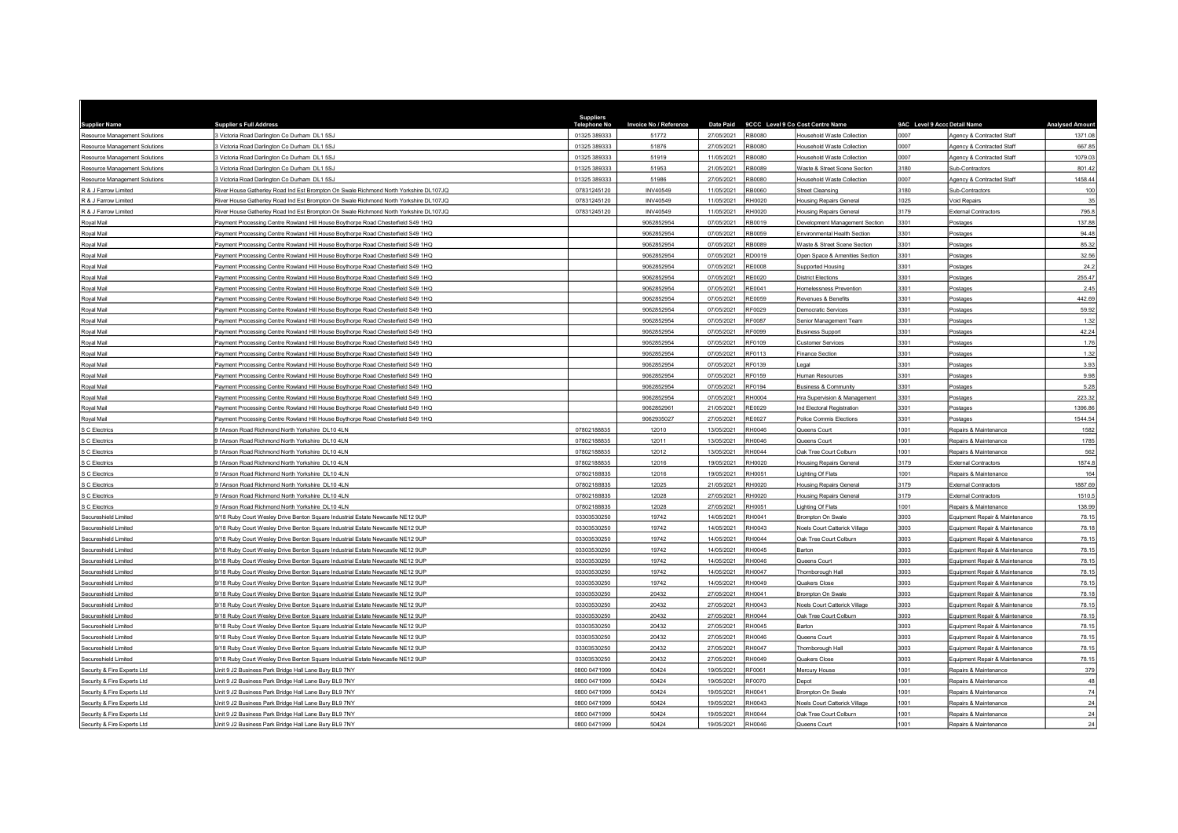|                                                       |                                                                                              | <b>Suppliers</b>             |                        |                          |                         |                                                                 |                              |                                                        |                       |
|-------------------------------------------------------|----------------------------------------------------------------------------------------------|------------------------------|------------------------|--------------------------|-------------------------|-----------------------------------------------------------------|------------------------------|--------------------------------------------------------|-----------------------|
| <b>Supplier Name</b>                                  | <b>Supplier s Full Address</b>                                                               | <b>Telephone No</b>          | Invoice No / Reference |                          |                         | Date Paid 9CCC Level 9 Co Cost Centre Name                      | 9AC Level 9 Accc Detail Name |                                                        | <b>Analysed Amoun</b> |
| Resource Management Solutions                         | 3 Victoria Road Darlington Co Durham DL1 5SJ<br>3 Victoria Road Darlington Co Durham DL1 5SJ | 01325 389333<br>01325 389333 | 51772<br>51876         | 27/05/2021<br>27/05/2021 | <b>RB0080</b><br>RB0080 | lousehold Waste Collection<br><b>Household Waste Collection</b> | 0007<br>0007                 | Agency & Contracted Staff<br>Agency & Contracted Staff | 1371.08<br>667.85     |
| Resource Management Solutions                         | Victoria Road Darlington Co Durham DL1 5SJ                                                   | 01325 389333                 | 51919                  | 11/05/2021               | RB0080                  | lousehold Waste Collection                                      | 0007                         | Agency & Contracted Staff                              | 1079.03               |
| Resource Management Solutions                         | Victoria Road Darlington Co Durham DL1 5SJ                                                   | 01325 389333                 | 51953                  | 21/05/2021               | RB0089                  | Waste & Street Scene Section                                    | 3180                         | Sub-Contractors                                        | 801.42                |
| Resource Management Solutions                         | 3 Victoria Road Darlington Co Durham DL1 5SJ                                                 | 01325 389333                 | 51986                  | 27/05/2021               | <b>RB0080</b>           | Household Waste Collection                                      | 0007                         | Agency & Contracted Staff                              | 1458.44               |
| Resource Management Solutions<br>R & J Farrow Limited | tiver House Gatherley Road Ind Est Brompton On Swale Richmond North Yorkshire DL107JQ        | 07831245120                  | INV40549               | 11/05/2021               | <b>B0060</b>            | treet Cleansing                                                 | 3180                         | Sub-Contractors                                        | 100                   |
| R & J Farrow Limited                                  | tiver House Gatherley Road Ind Est Brompton On Swale Richmond North Yorkshire DL107JQ        | 07831245120                  | <b>INV40549</b>        | 11/05/2021               | RH0020                  | <b>Housing Repairs General</b>                                  | 1025                         | Void Repairs                                           | 35                    |
| R & J Farrow Limited                                  | River House Gatherley Road Ind Est Brompton On Swale Richmond North Yorkshire DL107JQ        | 07831245120                  | <b>INV40549</b>        | 11/05/2021               | RH0020                  | <b>Housing Repairs General</b>                                  | 3179                         | <b>External Contractors</b>                            | 795.8                 |
| Royal Mail                                            | Payment Processing Centre Rowland Hill House Boythorpe Road Chesterfield S49 1HQ             |                              | 9062852954             | 07/05/2021               | RB0019                  | Development Management Section                                  | 3301                         | Postages                                               | 137.88                |
| oyal Mail                                             | Payment Processing Centre Rowland Hill House Boythorpe Road Chesterfield S49 1HQ             |                              | 9062852954             | 07/05/2021               | RB0059                  | Invironmental Health Section                                    | 3301                         | Postages                                               | 94.48                 |
| oval Mail                                             | Payment Processing Centre Rowland Hill House Boythorpe Road Chesterfield S49 1HQ             |                              | 9062852954             | 07/05/2021               | RB0089                  | Waste & Street Scene Section                                    | 3301                         | Postages                                               | 85.32                 |
| Royal Mail                                            | Payment Processing Centre Rowland Hill House Boythorpe Road Chesterfield S49 1HQ             |                              | 9062852954             | 07/05/2021               | RD0019                  | Open Space & Amenities Section                                  | 3301                         | Postages                                               | 32.56                 |
| lisM lsyo                                             | ayment Processing Centre Rowland Hill House Boythorpe Road Chesterfield S49 1HQ              |                              | 9062852954             | 07/05/2021               | RE0008                  | <b>Supported Housing</b>                                        | 3301                         | Postages                                               | 24.3                  |
| Royal Mail                                            | Payment Processing Centre Rowland Hill House Boythorpe Road Chesterfield S49 1HC             |                              | 9062852954             | 07/05/2021               | <b>RE0020</b>           | <b>District Flections</b>                                       | 3301                         |                                                        | 255.47                |
|                                                       |                                                                                              |                              |                        | 07/05/2021               | RE0041                  | Homelessness Prevention                                         | 3301                         | Postages                                               | 2.45                  |
| oyal Mail                                             | Payment Processing Centre Rowland Hill House Boythorpe Road Chesterfield S49 1HQ             |                              | 9062852954             | 07/05/2021               | RE0059                  |                                                                 | 3301                         | Postages                                               | 442.6                 |
| Royal Mail                                            | Payment Processing Centre Rowland Hill House Boythorpe Road Chesterfield S49 1HQ             |                              | 9062852954             |                          |                         | Revenues & Benefits                                             |                              | Postages                                               |                       |
| Royal Mail                                            | Payment Processing Centre Rowland Hill House Boythorpe Road Chesterfield S49 1HQ             |                              | 9062852954             | 07/05/2021               | RF0029                  | Democratic Services                                             | 3301                         | Postages                                               | 59.92                 |
| lisM lsyo                                             | Payment Processing Centre Rowland Hill House Boythorpe Road Chesterfield S49 1HQ             |                              | 9062852954             | 07/05/2021               | RF0087                  | Senior Management Team                                          | 3301                         | Postages                                               | 1.32                  |
| Roval Mail                                            | Payment Processing Centre Rowland Hill House Boythorpe Road Chesterfield S49 1HQ             |                              | 9062852954             | 07/05/2021               | <b>RF0099</b>           | <b>Business Support</b>                                         | 3301                         | Postages                                               | 42.24                 |
| <b>IicM</b> leve                                      | Payment Processing Centre Rowland Hill House Boythorpe Road Chesterfield S49 1HQ             |                              | 9062852954             | 07/05/2021               | <b>RF0109</b>           | Customer Services                                               | 3301                         | Postages                                               | 1.76                  |
| oyal Mail                                             | ayment Processing Centre Rowland Hill House Boythorpe Road Chesterfield S49 1HQ              |                              | 9062852954             | 07/05/2021               | RF0113                  | Finance Section                                                 | 3301                         | Postages                                               | 1.32                  |
| oval Mail                                             | Payment Processing Centre Rowland Hill House Boythorpe Road Chesterfield S49 1HQ             |                              | 9062852954             | 07/05/2021               | RF0139                  | egal                                                            | 3301                         | Postages                                               | 3.93                  |
| oval Mail                                             | Payment Processing Centre Rowland Hill House Boythorpe Road Chesterfield S49 1HQ             |                              | 9062852954             | 07/05/2021               | RF0159                  | Iuman Resources                                                 | 3301                         | Postages                                               | 9.96                  |
| Royal Mail                                            | ayment Processing Centre Rowland Hill House Boythorpe Road Chesterfield S49 1HQ              |                              | 9062852954             | 07/05/2021               | RF0194                  | <b>Business &amp; Community</b>                                 | 3301                         | Postages                                               | 5.28                  |
| lisM levo                                             | Payment Processing Centre Rowland Hill House Boythorpe Road Chesterfield S49 1HQ             |                              | 9062852954             | 07/05/2021               | <b>RH0004</b>           | Hra Supervision & Management                                    | 3301                         | Postages                                               | 223.32                |
| oval Mail                                             | Payment Processing Centre Rowland Hill House Boythorpe Road Chesterfield S49 1HQ             |                              | 9062852961             | 21/05/2021               | RE0029                  | Ind Electoral Registration                                      | 3301                         | Postages                                               | 1396.8                |
| lisM leyo                                             | Payment Processing Centre Rowland Hill House Boythorpe Road Chesterfield S49 1HQ             |                              | 9062935027             | 27/05/2021               | <b>RE0027</b>           | Police Commis Elections                                         | 3301                         | Postages                                               | 1544.54               |
| <b>S C Electrics</b>                                  | 9 l'Anson Road Richmond North Yorkshire DL10 4LN                                             | 07802188835                  | 12010                  | 13/05/2021               | RH0046                  | Queens Court                                                    | 1001                         | Repairs & Maintenance                                  | 1582                  |
| S C Electrics                                         | 9 l'Anson Road Richmond North Yorkshire DL10 4LN                                             | 07802188835                  | 12011                  | 13/05/2021               | RH0046                  | Queens Court                                                    | 1001                         | Repairs & Maintenance                                  | 1785                  |
| C Flectrics                                           | l'Anson Road Richmond North Yorkshire DJ 10 4LN                                              | 07802188835                  | 12012                  | 13/05/2021               | RH0044                  | <b>Jak Tree Court Colbum</b>                                    | 1001                         | Repairs & Maintenance                                  | 562                   |
| S C Electrics                                         | l'Anson Road Richmond North Yorkshire DL10 4LN                                               | 07802188835                  | 12016                  | 19/05/2021               | RH0020                  | <b>Housing Repairs General</b>                                  | 3179                         | <b>External Contractors</b>                            | 1874.8                |
| C Electrics                                           | 9 l'Anson Road Richmond North Yorkshire DL10 4LN                                             | 07802188835                  | 12016                  | 19/05/2021               | RH0051                  | ighting Of Flats                                                | 1001                         | Repairs & Maintenance                                  | 164                   |
| C Electrics                                           | FAnson Road Richmond North Yorkshire DL10 4LN                                                | 07802188835                  | 12025                  | 21/05/2021               | RH0020                  | <b>Housing Repairs General</b>                                  | 3179                         | <b>External Contractors</b>                            | 1887.6                |
| S C Electrics                                         | HAnson Road Richmond North Yorkshire DL10 4LN                                                | 07802188835                  | 12028                  | 27/05/2021               | RH0020                  | <b>Housing Repairs General</b>                                  | 3179                         | <b>External Contractors</b>                            | 1510.5                |
| C Electrics                                           | l'Anson Road Richmond North Yorkshire DL10 4LN                                               | 07802188835                  | 12028                  | 27/05/2021               | RH0051                  | ighting Of Flats                                                | 1001                         | Repairs & Maintenance                                  | 138.99                |
| Secureshield Limited                                  | /18 Ruby Court Wesley Drive Benton Square Industrial Estate Newcastle NE12 9UP               | 03303530250                  | 19742                  | 14/05/2021               | RH0041                  | Brompton On Swale                                               | 3003                         | Equipment Repair & Maintenance                         | 78.1                  |
| Secureshield Limited                                  | 18 Ruby Court Wesley Drive Benton Square Industrial Estate Newcastle NE12 9UP                | 03303530250                  | 19742                  | 14/05/2021               | RH0043                  | <b>Voels Court Catterick Village</b>                            | 3003                         | Equipment Repair & Maintenance                         | 78.1                  |
| Secureshield Limited                                  | 18 Ruby Court Wesley Drive Benton Square Industrial Estate Newcastle NE12 9UF                | 03303530250                  | 19742                  | 14/05/2021               | H0044                   | Oak Tree Court Colbum                                           | 3003                         | Equipment Repair & Maintenanc                          | 78.1                  |
| Secureshield Limited                                  | /18 Ruby Court Wesley Drive Benton Square Industrial Estate Newcastle NE12 9UP               | 03303530250                  | 19742                  | 14/05/2021               | RH0045                  | Barton                                                          | 3003                         | Equipment Repair & Maintenance                         | 78.15                 |
| Secureshield Limited                                  | 18 Ruby Court Wesley Drive Benton Square Industrial Estate Newcastle NE12 9UP                | 03303530250                  | 19742                  | 14/05/2021               | RH0046                  | Queens Court                                                    | 3003                         | Equipment Repair & Maintenance                         | 78.1                  |
| Secureshield Limited                                  | 18 Ruby Court Wesley Drive Benton Square Industrial Estate Newcastle NE12 9UP                | 03303530250                  | 19742                  | 14/05/2021               | RH0047                  | Thornborough Hall                                               | 3003                         | Equipment Repair & Maintenance                         | 78.1                  |
| Secureshield Limited                                  | 18 Ruby Court Wesley Drive Benton Square Industrial Estate Newcastle NE12 9UP                | 03303530250                  | 19742                  | 14/05/2021               | <b>RH0049</b>           | Quakers Close                                                   | 3003                         | Equipment Repair & Maintenance                         | 78.1                  |
| Secureshield Limited                                  | /18 Ruby Court Wesley Drive Benton Square Industrial Estate Newcastle NE12 9UP               | 03303530250                  | 20432                  | 27/05/2021               | RH0041                  | rompton On Swale                                                | 3003                         | Equipment Repair & Maintenance                         | 78.1                  |
| Secureshield Limited                                  | /18 Ruby Court Wesley Drive Benton Square Industrial Estate Newcastle NE12 9UP               | 03303530250                  | 20432                  | 27/05/2021               | RH0043                  | Noels Court Catterick Village                                   | 3003                         | Equipment Repair & Maintenance                         | 78.1                  |
| Secureshield Limited                                  | 18 Ruby Court Wesley Drive Benton Square Industrial Estate Newcastle NE12 9UP                | 03303530250                  | 20432                  | 27/05/2021               | RH0044                  | Oak Tree Court Colburn                                          | 3003                         | Equipment Repair & Maintenance                         | 78.1                  |
| Secureshield Limited                                  | /18 Ruby Court Wesley Drive Benton Square Industrial Estate Newcastle NE12 9UP               | 03303530250                  | 20432                  | 27/05/2021               | <b>RH0045</b>           | Barton                                                          | 3003                         | Equipment Repair & Maintenance                         | 78.1                  |
| Secureshield Limited                                  | 18 Ruby Court Wesley Drive Benton Square Industrial Estate Newcastle NE12 9UP                | 03303530250                  | 20432                  | 27/05/2021               | RH0046                  | Queens Court                                                    | 3003                         | Equipment Repair & Maintenance                         | 78.1                  |
| Secureshield Limited                                  | /18 Ruby Court Wesley Drive Benton Square Industrial Estate Newcastle NE12 9UP               | 03303530250                  | 20432                  | 27/05/2021               | RH0047                  | Thornborough Hall                                               | 3003                         | Equipment Repair & Maintenance                         | 78.1                  |
| Secureshield Limited                                  | /18 Ruby Court Wesley Drive Benton Square Industrial Estate Newcastle NE12 9UP               | 03303530250                  | 20432                  | 27/05/2021               | RH0049                  | Quakers Close                                                   | 3003                         | Equipment Repair & Maintenance                         | 78.15                 |
| Security & Fire Experts Ltd                           | Jnit 9 J2 Business Park Bridge Hall Lane Bury BL9 7NY                                        | 0800 0471999                 | 50424                  | 19/05/2021               | RF0061                  | Mercury House                                                   | 1001                         | Repairs & Maintenance                                  | 379                   |
| Security & Fire Experts Ltd                           | Jnit 9 J2 Business Park Bridge Hall Lane Bury BL9 7NY                                        | 0800 0471999                 | 50424                  | 19/05/2021               | <b>RF0070</b>           | Depot                                                           | 1001                         | Repairs & Maintenance                                  | 48                    |
| Security & Fire Experts Ltd                           | Init 9 J2 Business Park Bridge Hall Lane Bury BL9 7NY                                        | 0800 0471999                 | 50424                  | 19/05/2021               | RH0041                  | <b>Brompton On Swale</b>                                        | 1001                         | Repairs & Maintenance                                  | 74                    |
| Security & Fire Experts Ltd                           | Init 9 J2 Business Park Bridge Hall Lane Bury BL9 7NY                                        | 0800 0471999                 | 50424                  | 19/05/2021               | RH0043                  | Noels Court Catterick Village                                   | 1001                         | Repairs & Maintenance                                  | 24                    |
| Security & Fire Experts Ltd                           | nit 9 J2 Business Park Bridge Hall Lane Bury BL9 7NY                                         | 0800 0471999                 | 50424                  | 19/05/2021               | <b>RH0044</b>           | Jak Tree Court Colburn                                          | 1001                         | Repairs & Maintenance                                  | 24                    |
| Security & Fire Experts Ltd                           | Unit 9 J2 Business Park Bridge Hall Lane Bury BL9 7NY                                        | 0800 0471999                 | 50424                  | 19/05/2021               | RH0046                  | Queens Court                                                    | 1001                         | Repairs & Maintenance                                  | 24                    |